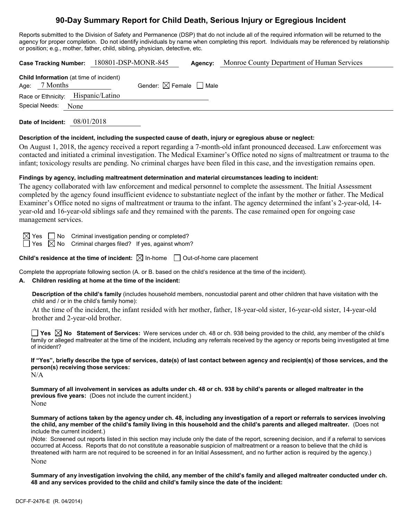# **90-Day Summary Report for Child Death, Serious Injury or Egregious Incident**

Reports submitted to the Division of Safety and Permanence (DSP) that do not include all of the required information will be returned to the agency for proper completion. Do not identify individuals by name when completing this report. Individuals may be referenced by relationship or position; e.g., mother, father, child, sibling, physician, detective, etc.

|                                                            | Case Tracking Number: 180801-DSP-MONR-845 | Agency: | Monroe County Department of Human Services |
|------------------------------------------------------------|-------------------------------------------|---------|--------------------------------------------|
| Child Information (at time of incident)<br>Age: $7$ Months | Gender: $\boxtimes$ Female $\Box$ Male    |         |                                            |
| Race or Ethnicity: Hispanic/Latino                         |                                           |         |                                            |
| Special Needs: None                                        |                                           |         |                                            |
|                                                            |                                           |         |                                            |

**Date of Incident:** 08/01/2018

#### **Description of the incident, including the suspected cause of death, injury or egregious abuse or neglect:**

On August 1, 2018, the agency received a report regarding a 7-month-old infant pronounced deceased. Law enforcement was contacted and initiated a criminal investigation. The Medical Examiner's Office noted no signs of maltreatment or trauma to the infant; toxicology results are pending. No criminal charges have been filed in this case, and the investigation remains open.

#### **Findings by agency, including maltreatment determination and material circumstances leading to incident:**

The agency collaborated with law enforcement and medical personnel to complete the assessment. The Initial Assessment completed by the agency found insufficient evidence to substantiate neglect of the infant by the mother or father. The Medical Examiner's Office noted no signs of maltreatment or trauma to the infant. The agency determined the infant's 2-year-old, 14 year-old and 16-year-old siblings safe and they remained with the parents. The case remained open for ongoing case management services.

 $\boxtimes$  Yes  $\Box$  No Criminal investigation pending or completed?

 $\Box$  Yes  $\boxtimes$  No Criminal charges filed? If yes, against whom?

**Child's residence at the time of incident:**  $\boxtimes$  In-home  $\Box$  Out-of-home care placement

Complete the appropriate following section (A. or B. based on the child's residence at the time of the incident).

#### **A. Children residing at home at the time of the incident:**

**Description of the child's family** (includes household members, noncustodial parent and other children that have visitation with the child and / or in the child's family home):

At the time of the incident, the infant resided with her mother, father, 18-year-old sister, 16-year-old sister, 14-year-old brother and 2-year-old brother.

**Yes No Statement of Services:** Were services under ch. 48 or ch. 938 being provided to the child, any member of the child's family or alleged maltreater at the time of the incident, including any referrals received by the agency or reports being investigated at time of incident?

**If "Yes", briefly describe the type of services, date(s) of last contact between agency and recipient(s) of those services, and the person(s) receiving those services:**

 $N/A$ 

**Summary of all involvement in services as adults under ch. 48 or ch. 938 by child's parents or alleged maltreater in the previous five years:** (Does not include the current incident.) None

**Summary of actions taken by the agency under ch. 48, including any investigation of a report or referrals to services involving the child, any member of the child's family living in this household and the child's parents and alleged maltreater.** (Does not include the current incident.)

(Note: Screened out reports listed in this section may include only the date of the report, screening decision, and if a referral to services occurred at Access. Reports that do not constitute a reasonable suspicion of maltreatment or a reason to believe that the child is threatened with harm are not required to be screened in for an Initial Assessment, and no further action is required by the agency.) None

**Summary of any investigation involving the child, any member of the child's family and alleged maltreater conducted under ch. 48 and any services provided to the child and child's family since the date of the incident:**